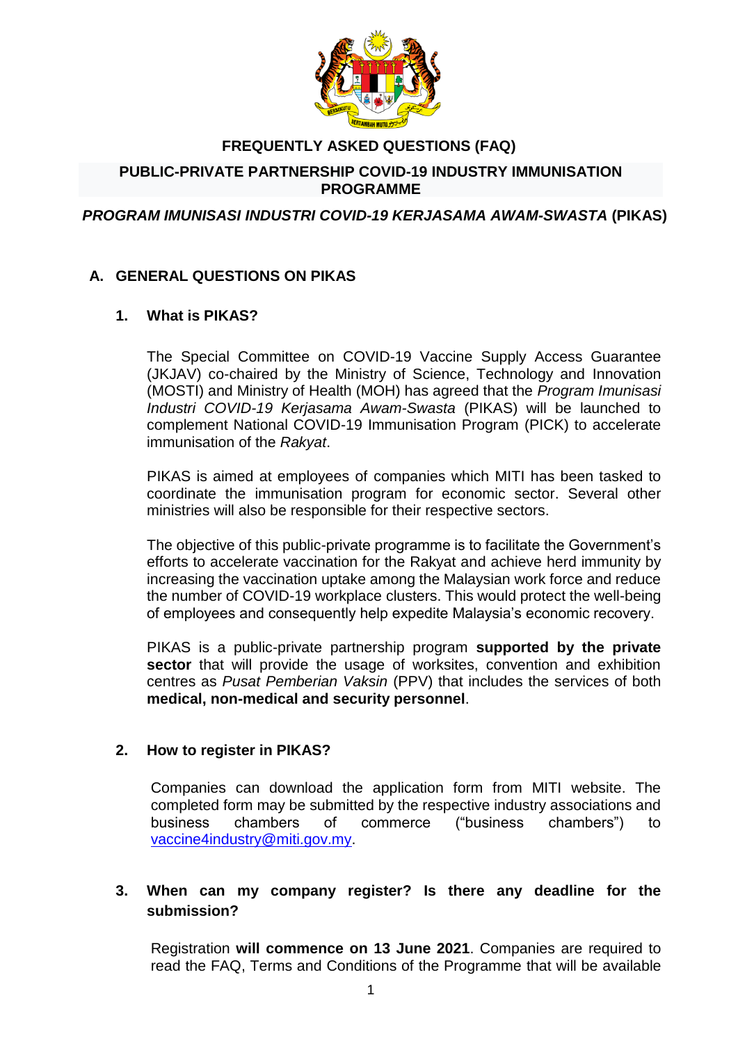

# **FREQUENTLY ASKED QUESTIONS (FAQ)**

#### **PUBLIC-PRIVATE PARTNERSHIP COVID-19 INDUSTRY IMMUNISATION PROGRAMME**

#### *PROGRAM IMUNISASI INDUSTRI COVID-19 KERJASAMA AWAM-SWASTA* **(PIKAS)**

#### **A. GENERAL QUESTIONS ON PIKAS**

#### **1. What is PIKAS?**

The Special Committee on COVID-19 Vaccine Supply Access Guarantee (JKJAV) co-chaired by the Ministry of Science, Technology and Innovation (MOSTI) and Ministry of Health (MOH) has agreed that the *Program Imunisasi Industri COVID-19 Kerjasama Awam-Swasta* (PIKAS) will be launched to complement National COVID-19 Immunisation Program (PICK) to accelerate immunisation of the *Rakyat*.

PIKAS is aimed at employees of companies which MITI has been tasked to coordinate the immunisation program for economic sector. Several other ministries will also be responsible for their respective sectors.

The objective of this public-private programme is to facilitate the Government's efforts to accelerate vaccination for the Rakyat and achieve herd immunity by increasing the vaccination uptake among the Malaysian work force and reduce the number of COVID-19 workplace clusters. This would protect the well-being of employees and consequently help expedite Malaysia's economic recovery.

PIKAS is a public-private partnership program **supported by the private sector** that will provide the usage of worksites, convention and exhibition centres as *Pusat Pemberian Vaksin* (PPV) that includes the services of both **medical, non-medical and security personnel**.

#### **2. How to register in PIKAS?**

Companies can download the application form from MITI website. The completed form may be submitted by the respective industry associations and business chambers of commerce ("business chambers") to [vaccine4industry@miti.gov.my.](mailto:vaccine4industry@miti.gov.my)

#### **3. When can my company register? Is there any deadline for the submission?**

Registration **will commence on 13 June 2021**. Companies are required to read the FAQ, Terms and Conditions of the Programme that will be available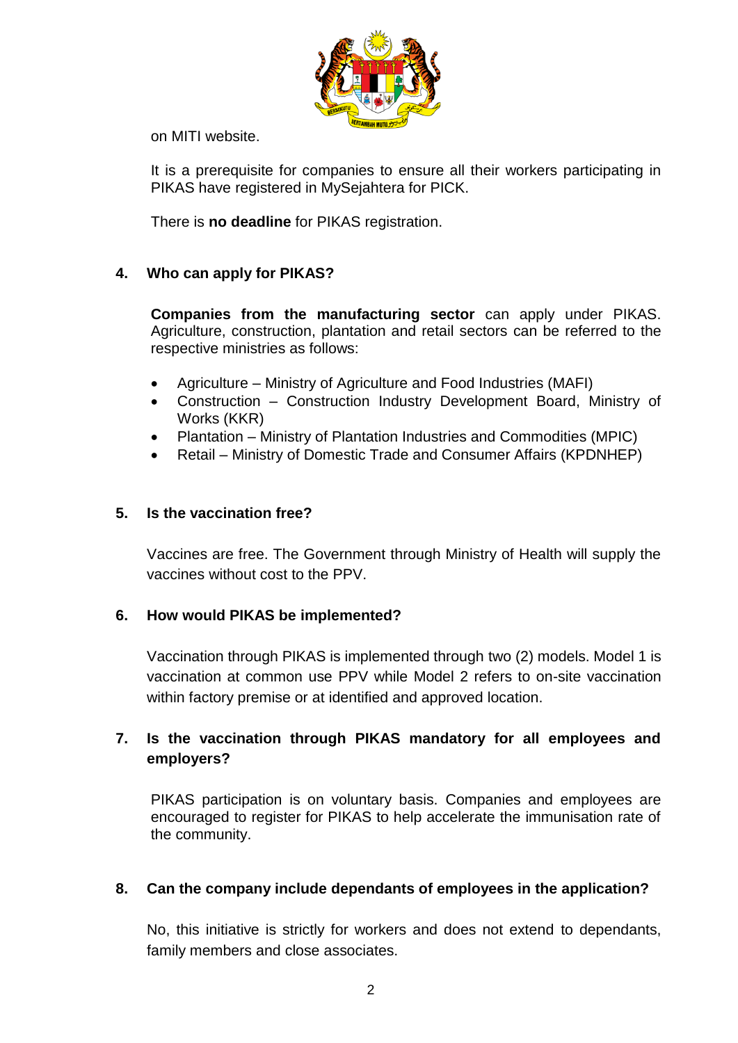

on MITI website.

It is a prerequisite for companies to ensure all their workers participating in PIKAS have registered in MySejahtera for PICK.

There is **no deadline** for PIKAS registration.

### **4. Who can apply for PIKAS?**

**Companies from the manufacturing sector** can apply under PIKAS. Agriculture, construction, plantation and retail sectors can be referred to the respective ministries as follows:

- Agriculture Ministry of Agriculture and Food Industries (MAFI)
- Construction Construction Industry Development Board, Ministry of Works (KKR)
- Plantation Ministry of Plantation Industries and Commodities (MPIC)
- Retail Ministry of Domestic Trade and Consumer Affairs (KPDNHEP)

#### **5. Is the vaccination free?**

Vaccines are free. The Government through Ministry of Health will supply the vaccines without cost to the PPV.

#### **6. How would PIKAS be implemented?**

Vaccination through PIKAS is implemented through two (2) models. Model 1 is vaccination at common use PPV while Model 2 refers to on-site vaccination within factory premise or at identified and approved location.

### **7. Is the vaccination through PIKAS mandatory for all employees and employers?**

PIKAS participation is on voluntary basis. Companies and employees are encouraged to register for PIKAS to help accelerate the immunisation rate of the community.

#### **8. Can the company include dependants of employees in the application?**

No, this initiative is strictly for workers and does not extend to dependants, family members and close associates.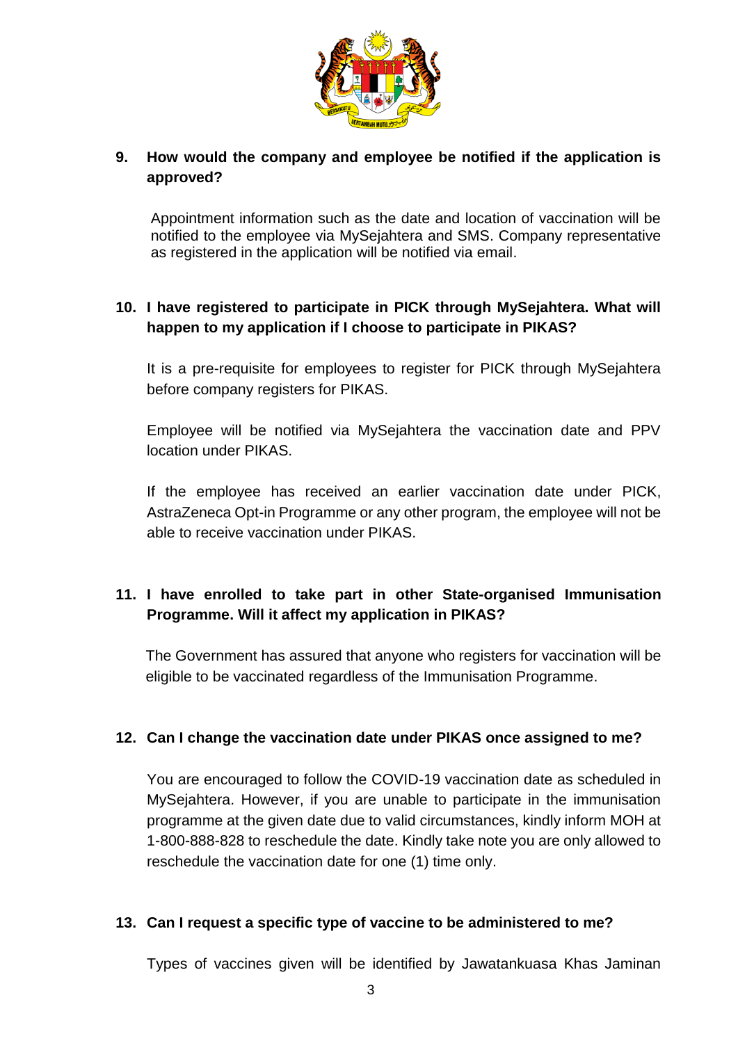

### **9. How would the company and employee be notified if the application is approved?**

Appointment information such as the date and location of vaccination will be notified to the employee via MySejahtera and SMS. Company representative as registered in the application will be notified via email.

## **10. I have registered to participate in PICK through MySejahtera. What will happen to my application if I choose to participate in PIKAS?**

It is a pre-requisite for employees to register for PICK through MySejahtera before company registers for PIKAS.

Employee will be notified via MySejahtera the vaccination date and PPV location under PIKAS.

If the employee has received an earlier vaccination date under PICK, AstraZeneca Opt-in Programme or any other program, the employee will not be able to receive vaccination under PIKAS.

## **11. I have enrolled to take part in other State-organised Immunisation Programme. Will it affect my application in PIKAS?**

The Government has assured that anyone who registers for vaccination will be eligible to be vaccinated regardless of the Immunisation Programme.

#### **12. Can I change the vaccination date under PIKAS once assigned to me?**

You are encouraged to follow the COVID-19 vaccination date as scheduled in MySejahtera. However, if you are unable to participate in the immunisation programme at the given date due to valid circumstances, kindly inform MOH at 1-800-888-828 to reschedule the date. Kindly take note you are only allowed to reschedule the vaccination date for one (1) time only.

#### **13. Can I request a specific type of vaccine to be administered to me?**

Types of vaccines given will be identified by Jawatankuasa Khas Jaminan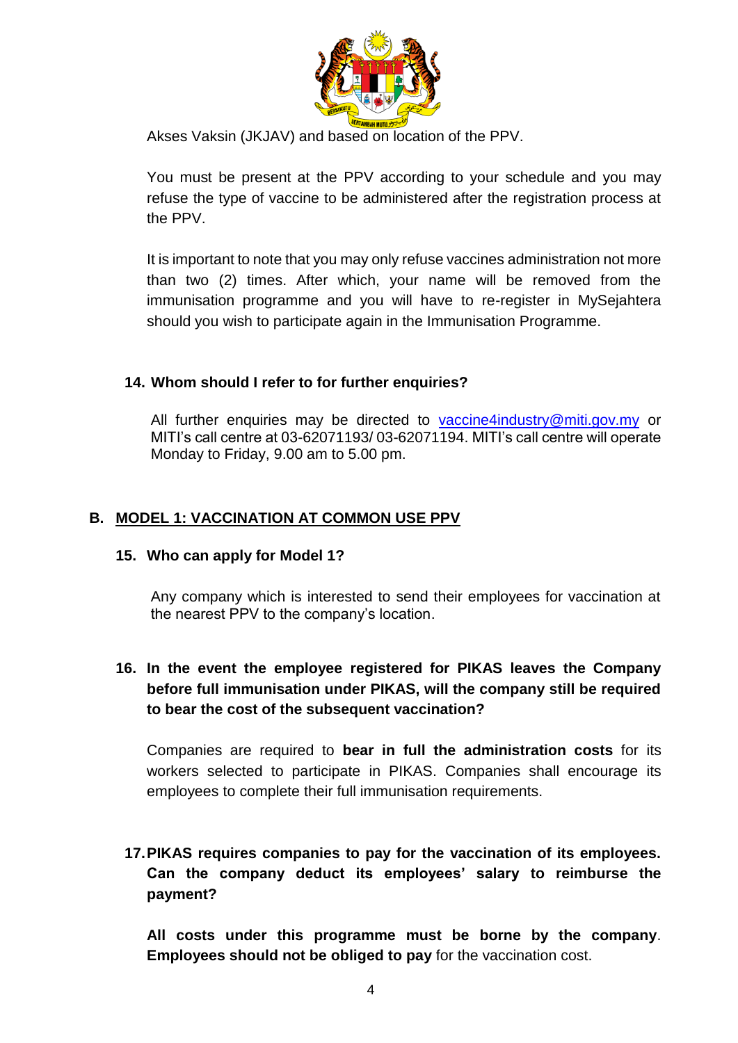

Akses Vaksin (JKJAV) and based on location of the PPV.

You must be present at the PPV according to your schedule and you may refuse the type of vaccine to be administered after the registration process at the PPV.

It is important to note that you may only refuse vaccines administration not more than two (2) times. After which, your name will be removed from the immunisation programme and you will have to re-register in MySejahtera should you wish to participate again in the Immunisation Programme.

#### **14. Whom should I refer to for further enquiries?**

All further enquiries may be directed to [vaccine4industry@miti.gov.my](mailto:vaccine4industry@miti.gov.my) or MITI's call centre at 03-62071193/ 03-62071194. MITI's call centre will operate Monday to Friday, 9.00 am to 5.00 pm.

#### **B. MODEL 1: VACCINATION AT COMMON USE PPV**

#### **15. Who can apply for Model 1?**

Any company which is interested to send their employees for vaccination at the nearest PPV to the company's location.

## **16. In the event the employee registered for PIKAS leaves the Company before full immunisation under PIKAS, will the company still be required to bear the cost of the subsequent vaccination?**

Companies are required to **bear in full the administration costs** for its workers selected to participate in PIKAS. Companies shall encourage its employees to complete their full immunisation requirements.

## **17.PIKAS requires companies to pay for the vaccination of its employees. Can the company deduct its employees' salary to reimburse the payment?**

**All costs under this programme must be borne by the company**. **Employees should not be obliged to pay** for the vaccination cost.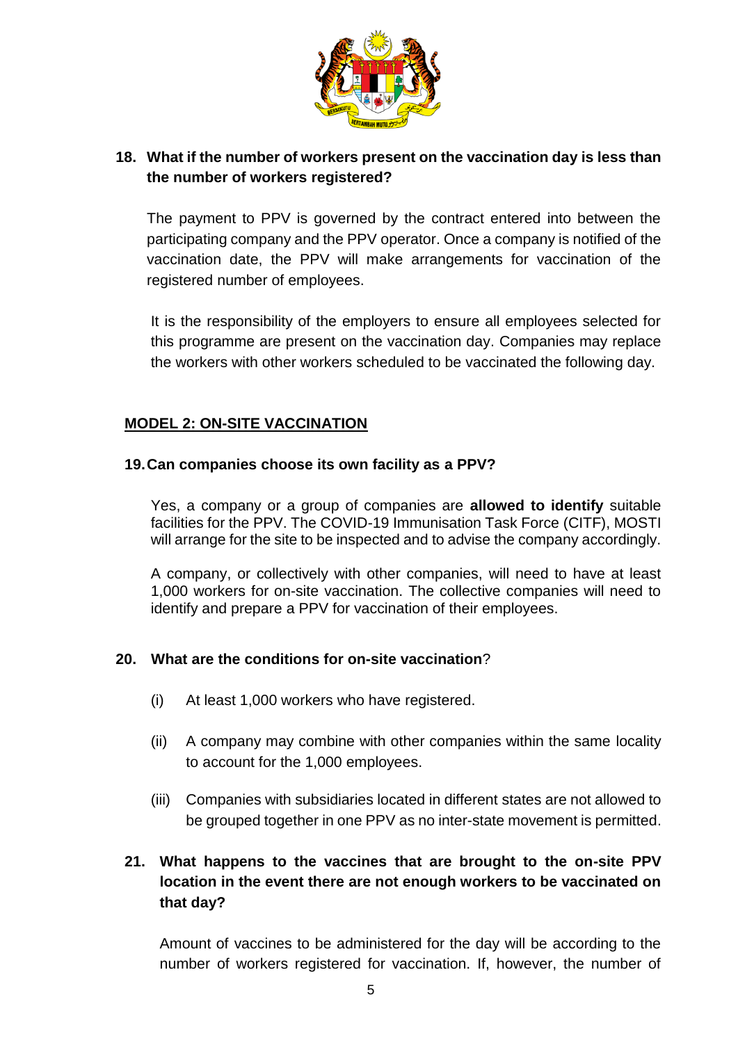

## **18. What if the number of workers present on the vaccination day is less than the number of workers registered?**

The payment to PPV is governed by the contract entered into between the participating company and the PPV operator. Once a company is notified of the vaccination date, the PPV will make arrangements for vaccination of the registered number of employees.

It is the responsibility of the employers to ensure all employees selected for this programme are present on the vaccination day. Companies may replace the workers with other workers scheduled to be vaccinated the following day.

### **MODEL 2: ON-SITE VACCINATION**

#### **19.Can companies choose its own facility as a PPV?**

Yes, a company or a group of companies are **allowed to identify** suitable facilities for the PPV. The COVID-19 Immunisation Task Force (CITF), MOSTI will arrange for the site to be inspected and to advise the company accordingly.

A company, or collectively with other companies, will need to have at least 1,000 workers for on-site vaccination. The collective companies will need to identify and prepare a PPV for vaccination of their employees.

#### **20. What are the conditions for on-site vaccination**?

- (i) At least 1,000 workers who have registered.
- (ii) A company may combine with other companies within the same locality to account for the 1,000 employees.
- (iii) Companies with subsidiaries located in different states are not allowed to be grouped together in one PPV as no inter-state movement is permitted.

## **21. What happens to the vaccines that are brought to the on-site PPV location in the event there are not enough workers to be vaccinated on that day?**

Amount of vaccines to be administered for the day will be according to the number of workers registered for vaccination. If, however, the number of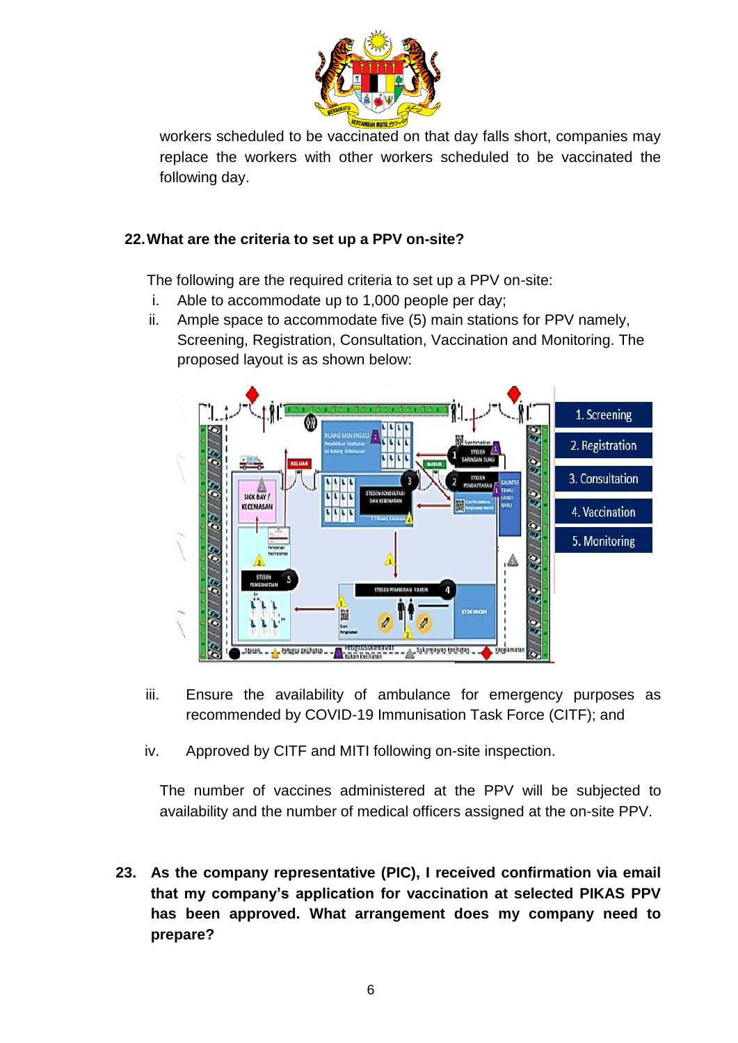

workers scheduled to be vaccinated on that day falls short, companies may replace the workers with other workers scheduled to be vaccinated the following day.

### **22.What are the criteria to set up a PPV on-site?**

The following are the required criteria to set up a PPV on-site:

- i. Able to accommodate up to 1,000 people per day;
- ii. Ample space to accommodate five (5) main stations for PPV namely, Screening, Registration, Consultation, Vaccination and Monitoring. The proposed layout is as shown below:



- iii. Ensure the availability of ambulance for emergency purposes as recommended by COVID-19 Immunisation Task Force (CITF); and
- iv. Approved by CITF and MITI following on-site inspection.

The number of vaccines administered at the PPV will be subjected to availability and the number of medical officers assigned at the on-site PPV.

**23. As the company representative (PIC), I received confirmation via email that my company's application for vaccination at selected PIKAS PPV has been approved. What arrangement does my company need to prepare?**